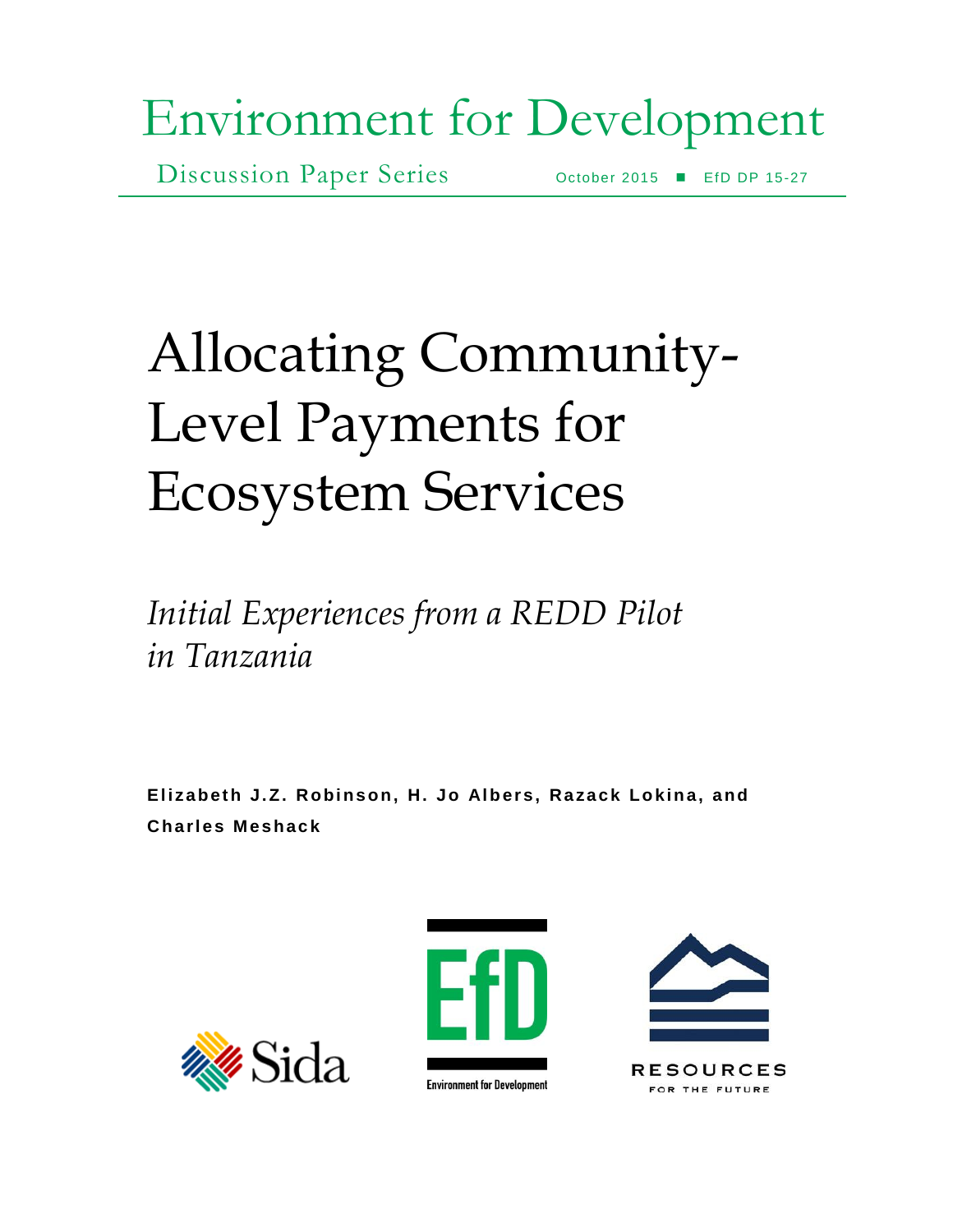# Environment for Development

Discussion Paper Series October 2015 EfD DP 15-27

# Allocating Community-Level Payments for Ecosystem Services

*Initial Experiences from a REDD Pilot in Tanzania* 

Elizabeth J.Z. Robinson, H. Jo Albers, Razack Lokina, and **Charle s Meshac k** 





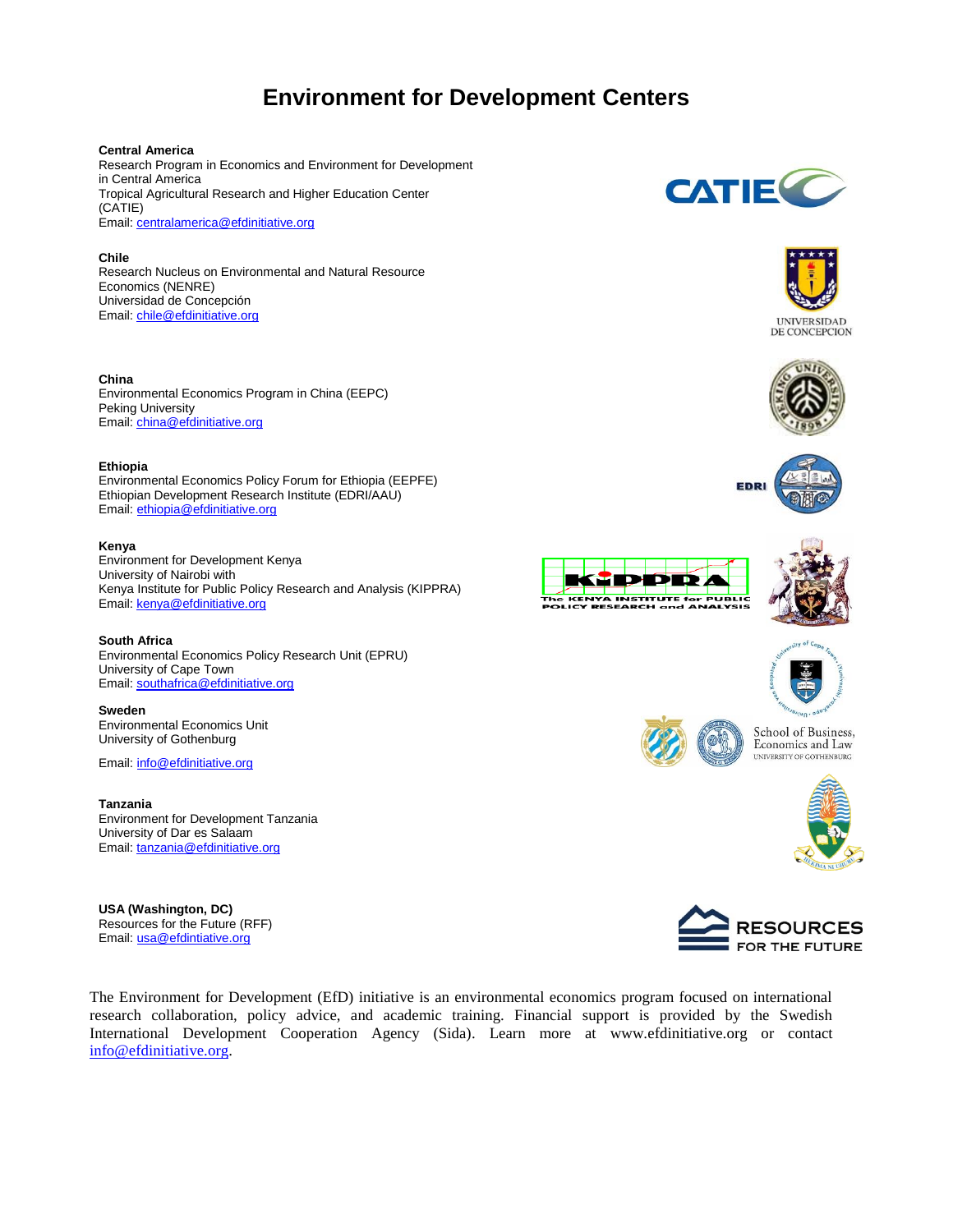# **Environment for Development Centers**

## **Central America**

Research Program in Economics and Environment for Development in Central America Tropical Agricultural Research and Higher Education Center (CATIE) Email: [centralamerica@efdinitiative.org](mailto:centralamerica@efdinitiative.org)

### **Chile**

Research Nucleus on Environmental and Natural Resource Economics (NENRE) Universidad de Concepción Email: [chile@efdinitiative.org](mailto:chile@efdinitiative.org)

## **China**

Environmental Economics Program in China (EEPC) Peking University Email: [china@efdinitiative.org](mailto:china@efdinitiative.org)

### **Ethiopia**

Environmental Economics Policy Forum for Ethiopia (EEPFE) Ethiopian Development Research Institute (EDRI/AAU) Email: [ethiopia@efdinitiative.org](mailto:ethiopia@efdinitiative.org) 

### **Kenya**

Environment for Development Kenya University of Nairobi with Kenya Institute for Public Policy Research and Analysis (KIPPRA) Email: [kenya@efdinitiative.org](mailto:kenya@efdinitiative.org) 

## **South Africa**

Environmental Economics Policy Research Unit (EPRU) University of Cape Town Email: [southafrica@efdinitiative.org](mailto:southafrica@efdinitiative.org) 

**Sweden** Environmental Economics Unit University of Gothenburg

Email: [info@efdinitiative.org](mailto:info@efdinitiative.org)

**Tanzania** Environment for Development Tanzania University of Dar es Salaam Email: [tanzania@efdinitiative.org](mailto:tanzania@efdinitiative.org)

**USA (Washington, DC)** Resources for the Future (RFF) Email: [usa@efdintiative.org](mailto:usa@efdintiative.org)

**CATIE**C



**UNIVERSIDAD** DE CONCEPCION













School of Business, Economics and Law UNIVERSITY OF GOTHENBURG





The Environment for Development (EfD) initiative is an environmental economics program focused on international research collaboration, policy advice, and academic training. Financial support is provided by the Swedish International Development Cooperation Agency (Sida). Learn more at www.efdinitiative.org or contact [info@efdinitiative.org.](mailto:info@efdinitiative.org)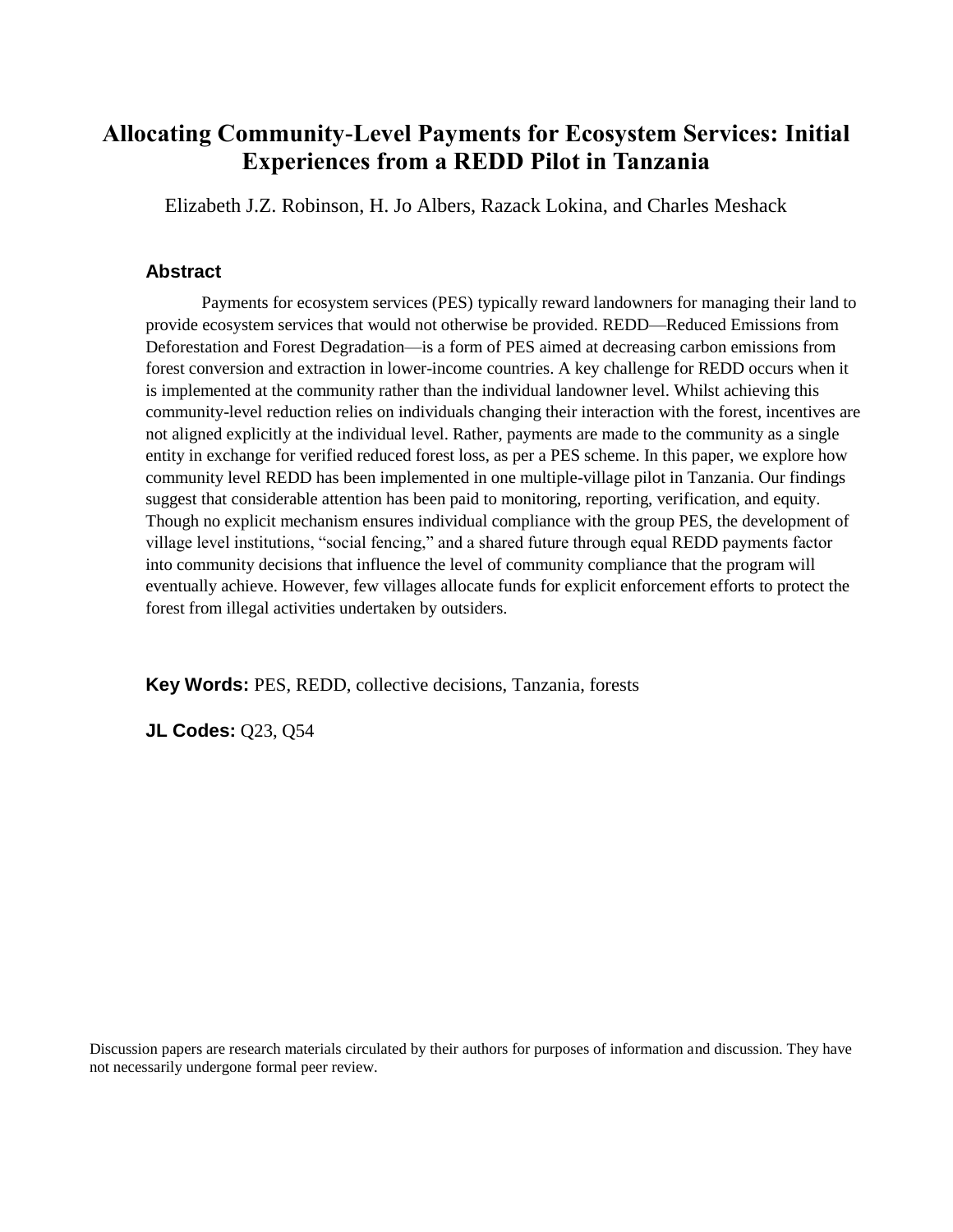# **Allocating Community-Level Payments for Ecosystem Services: Initial Experiences from a REDD Pilot in Tanzania**

Elizabeth J.Z. Robinson, H. Jo Albers, Razack Lokina, and Charles Meshack

# **Abstract**

Payments for ecosystem services (PES) typically reward landowners for managing their land to provide ecosystem services that would not otherwise be provided. REDD—Reduced Emissions from Deforestation and Forest Degradation—is a form of PES aimed at decreasing carbon emissions from forest conversion and extraction in lower-income countries. A key challenge for REDD occurs when it is implemented at the community rather than the individual landowner level. Whilst achieving this community-level reduction relies on individuals changing their interaction with the forest, incentives are not aligned explicitly at the individual level. Rather, payments are made to the community as a single entity in exchange for verified reduced forest loss, as per a PES scheme. In this paper, we explore how community level REDD has been implemented in one multiple-village pilot in Tanzania. Our findings suggest that considerable attention has been paid to monitoring, reporting, verification, and equity. Though no explicit mechanism ensures individual compliance with the group PES, the development of village level institutions, "social fencing," and a shared future through equal REDD payments factor into community decisions that influence the level of community compliance that the program will eventually achieve. However, few villages allocate funds for explicit enforcement efforts to protect the forest from illegal activities undertaken by outsiders.

**Key Words:** PES, REDD, collective decisions, Tanzania, forests

**JL Codes:** Q23, Q54

Discussion papers are research materials circulated by their authors for purposes of information and discussion. They have not necessarily undergone formal peer review.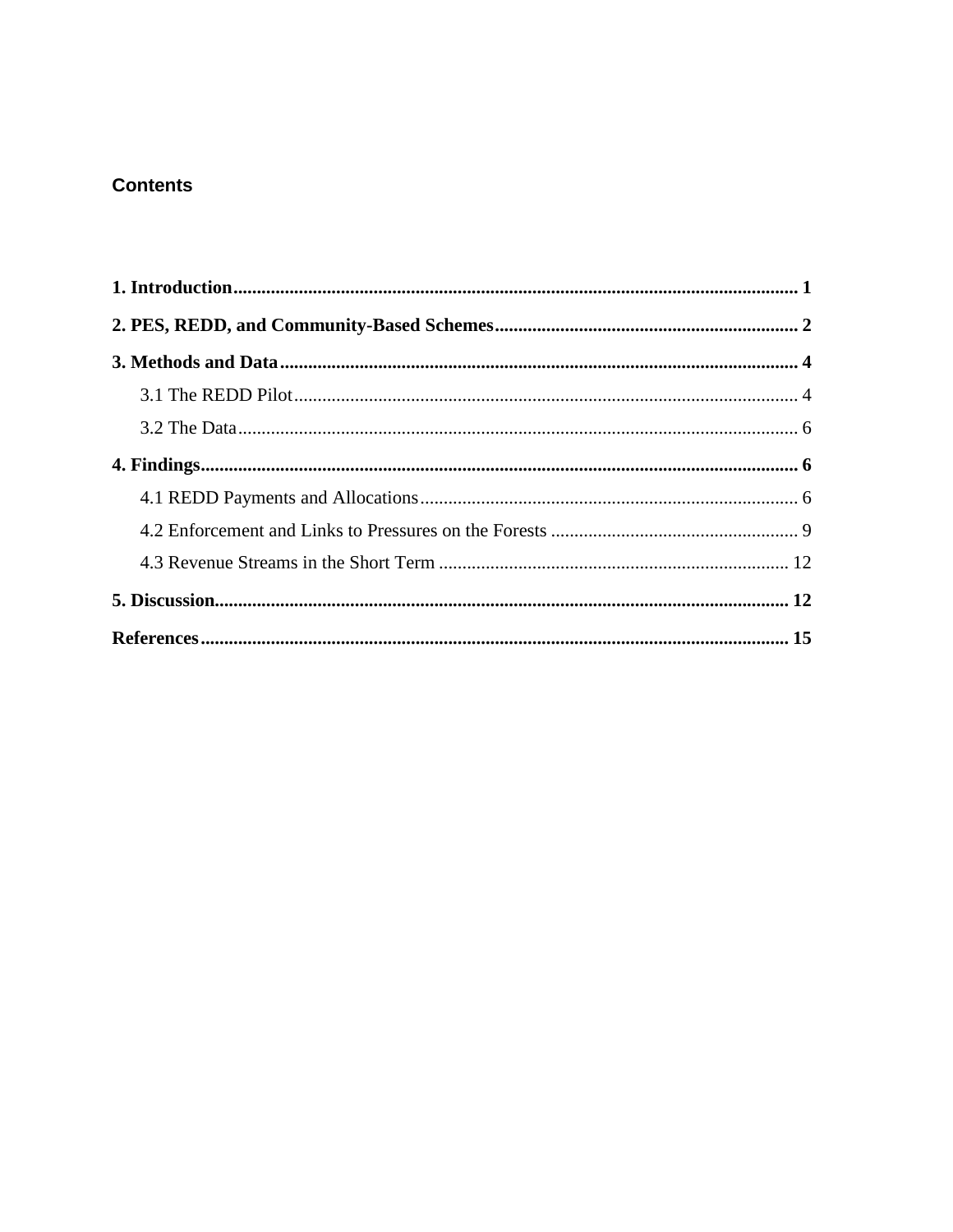# **Contents**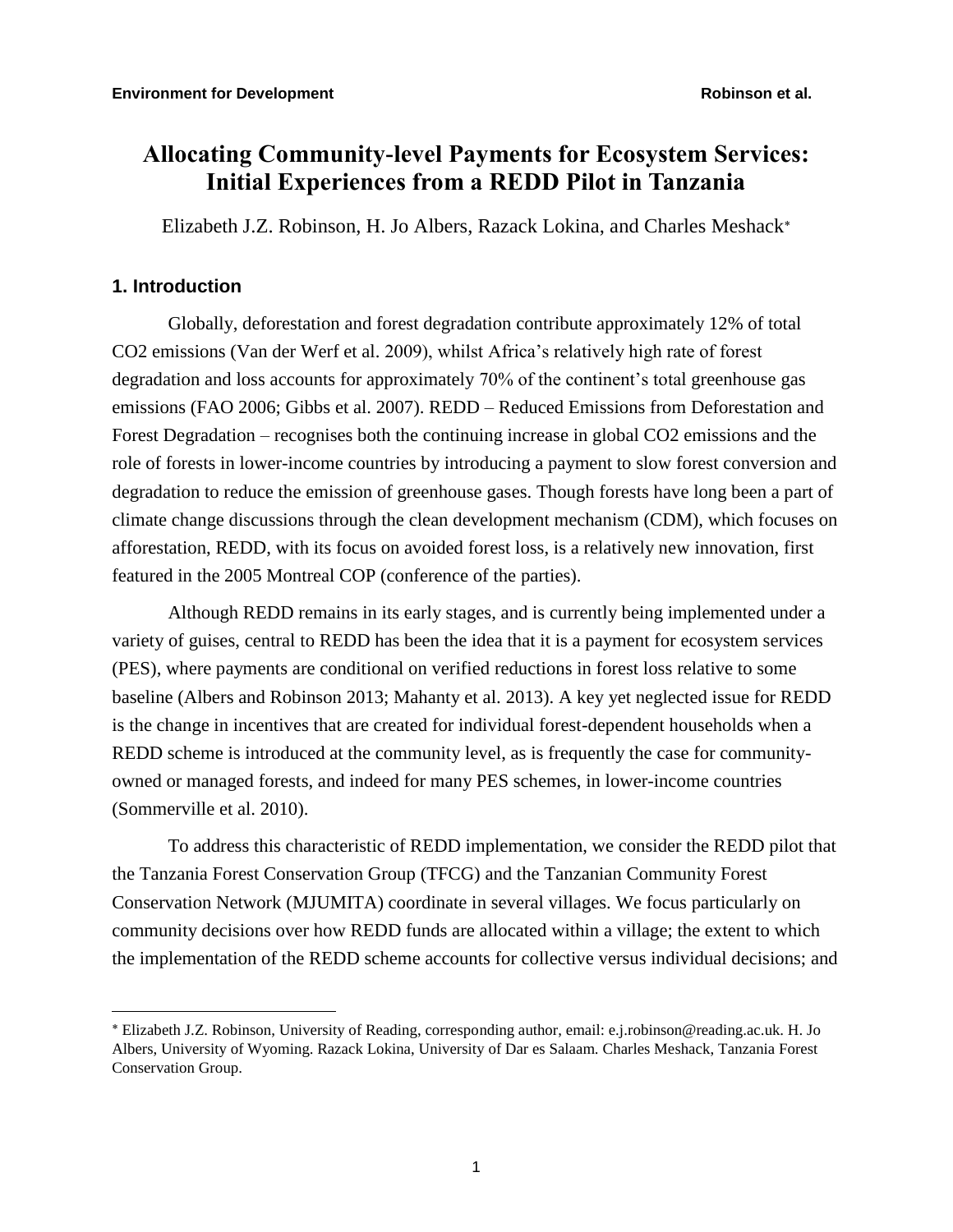# **Allocating Community-level Payments for Ecosystem Services: Initial Experiences from a REDD Pilot in Tanzania**

Elizabeth J.Z. Robinson, H. Jo Albers, Razack Lokina, and Charles Meshack

# **1. Introduction**

Globally, deforestation and forest degradation contribute approximately 12% of total CO2 emissions (Van der Werf et al. 2009), whilst Africa's relatively high rate of forest degradation and loss accounts for approximately 70% of the continent's total greenhouse gas emissions (FAO 2006; Gibbs et al. 2007). REDD – Reduced Emissions from Deforestation and Forest Degradation – recognises both the continuing increase in global CO2 emissions and the role of forests in lower-income countries by introducing a payment to slow forest conversion and degradation to reduce the emission of greenhouse gases. Though forests have long been a part of climate change discussions through the clean development mechanism (CDM), which focuses on afforestation, REDD, with its focus on avoided forest loss, is a relatively new innovation, first featured in the 2005 Montreal COP (conference of the parties).

Although REDD remains in its early stages, and is currently being implemented under a variety of guises, central to REDD has been the idea that it is a payment for ecosystem services (PES), where payments are conditional on verified reductions in forest loss relative to some baseline (Albers and Robinson 2013; Mahanty et al. 2013). A key yet neglected issue for REDD is the change in incentives that are created for individual forest-dependent households when a REDD scheme is introduced at the community level, as is frequently the case for communityowned or managed forests, and indeed for many PES schemes, in lower-income countries (Sommerville et al. 2010).

To address this characteristic of REDD implementation, we consider the REDD pilot that the Tanzania Forest Conservation Group (TFCG) and the Tanzanian Community Forest Conservation Network (MJUMITA) coordinate in several villages. We focus particularly on community decisions over how REDD funds are allocated within a village; the extent to which the implementation of the REDD scheme accounts for collective versus individual decisions; and

Elizabeth J.Z. Robinson, University of Reading, corresponding author, email: e.j.robinson@reading.ac.uk. H. Jo Albers, University of Wyoming. Razack Lokina, University of Dar es Salaam. Charles Meshack, Tanzania Forest Conservation Group.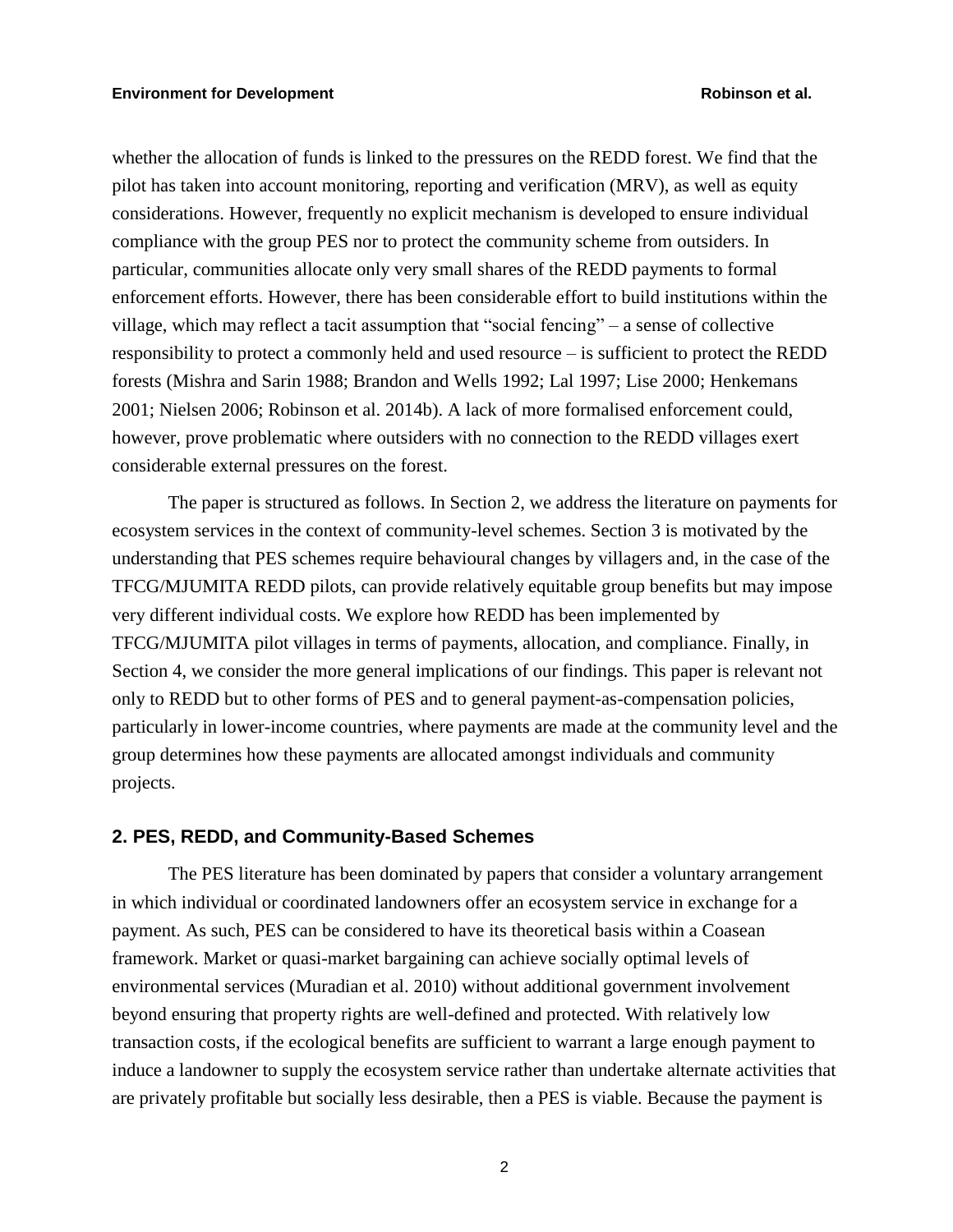whether the allocation of funds is linked to the pressures on the REDD forest. We find that the pilot has taken into account monitoring, reporting and verification (MRV), as well as equity considerations. However, frequently no explicit mechanism is developed to ensure individual compliance with the group PES nor to protect the community scheme from outsiders. In particular, communities allocate only very small shares of the REDD payments to formal enforcement efforts. However, there has been considerable effort to build institutions within the village, which may reflect a tacit assumption that "social fencing" – a sense of collective responsibility to protect a commonly held and used resource – is sufficient to protect the REDD forests (Mishra and Sarin 1988; Brandon and Wells 1992; Lal 1997; Lise 2000; Henkemans 2001; Nielsen 2006; Robinson et al. 2014b). A lack of more formalised enforcement could, however, prove problematic where outsiders with no connection to the REDD villages exert considerable external pressures on the forest.

The paper is structured as follows. In Section 2, we address the literature on payments for ecosystem services in the context of community-level schemes. Section 3 is motivated by the understanding that PES schemes require behavioural changes by villagers and, in the case of the TFCG/MJUMITA REDD pilots, can provide relatively equitable group benefits but may impose very different individual costs. We explore how REDD has been implemented by TFCG/MJUMITA pilot villages in terms of payments, allocation, and compliance. Finally, in Section 4, we consider the more general implications of our findings. This paper is relevant not only to REDD but to other forms of PES and to general payment-as-compensation policies, particularly in lower-income countries, where payments are made at the community level and the group determines how these payments are allocated amongst individuals and community projects.

# **2. PES, REDD, and Community-Based Schemes**

The PES literature has been dominated by papers that consider a voluntary arrangement in which individual or coordinated landowners offer an ecosystem service in exchange for a payment. As such, PES can be considered to have its theoretical basis within a Coasean framework. Market or quasi-market bargaining can achieve socially optimal levels of environmental services (Muradian et al. 2010) without additional government involvement beyond ensuring that property rights are well-defined and protected. With relatively low transaction costs, if the ecological benefits are sufficient to warrant a large enough payment to induce a landowner to supply the ecosystem service rather than undertake alternate activities that are privately profitable but socially less desirable, then a PES is viable. Because the payment is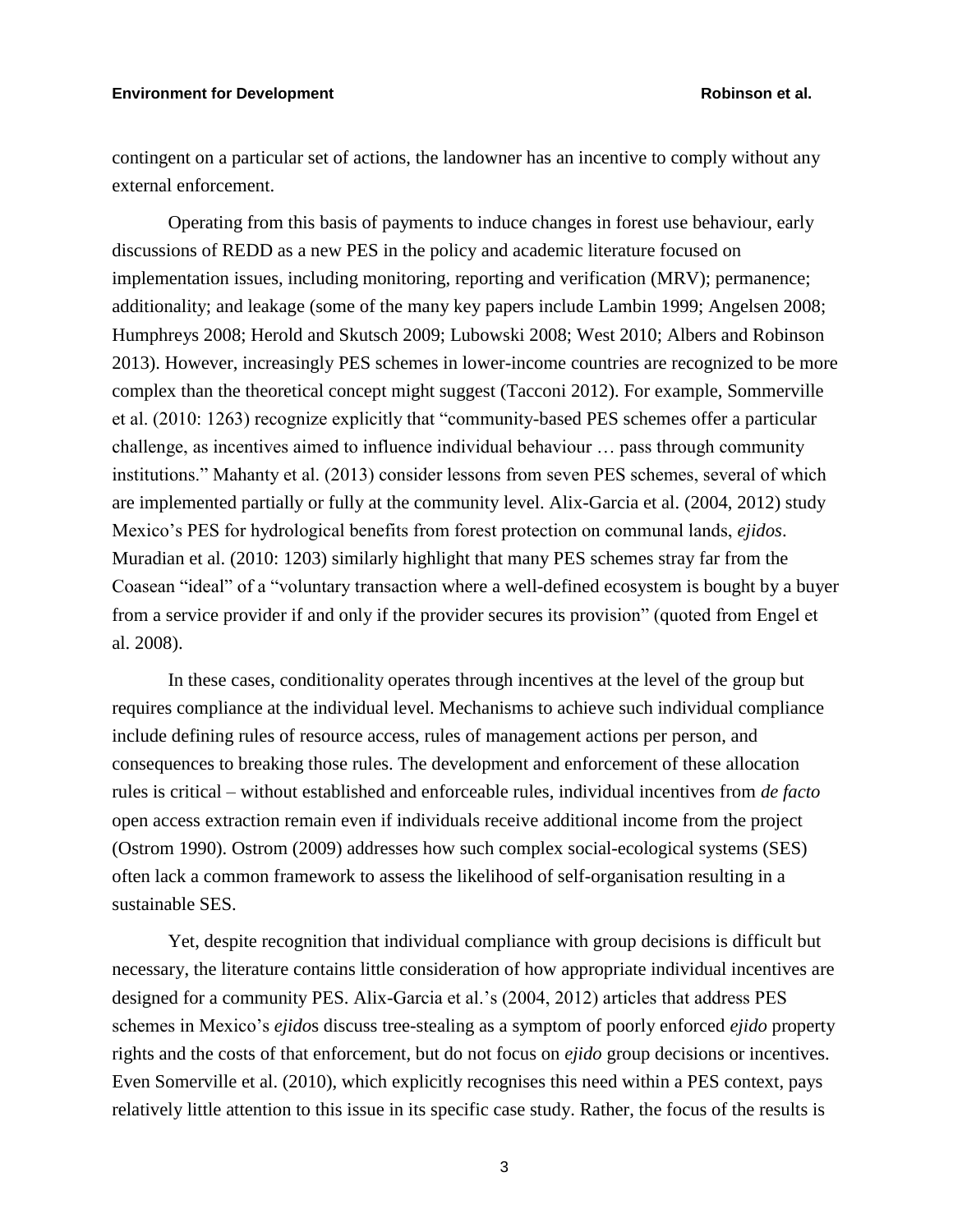# **Environment for Development Robinson et al.**

contingent on a particular set of actions, the landowner has an incentive to comply without any external enforcement.

Operating from this basis of payments to induce changes in forest use behaviour, early discussions of REDD as a new PES in the policy and academic literature focused on implementation issues, including monitoring, reporting and verification (MRV); permanence; additionality; and leakage (some of the many key papers include Lambin 1999; Angelsen 2008; Humphreys 2008; Herold and Skutsch 2009; Lubowski 2008; West 2010; Albers and Robinson 2013). However, increasingly PES schemes in lower-income countries are recognized to be more complex than the theoretical concept might suggest (Tacconi 2012). For example, Sommerville et al. (2010: 1263) recognize explicitly that "community-based PES schemes offer a particular challenge, as incentives aimed to influence individual behaviour … pass through community institutions." Mahanty et al. (2013) consider lessons from seven PES schemes, several of which are implemented partially or fully at the community level. Alix-Garcia et al. (2004, 2012) study Mexico's PES for hydrological benefits from forest protection on communal lands, *ejidos*. Muradian et al. (2010: 1203) similarly highlight that many PES schemes stray far from the Coasean "ideal" of a "voluntary transaction where a well-defined ecosystem is bought by a buyer from a service provider if and only if the provider secures its provision" (quoted from Engel et al. 2008).

In these cases, conditionality operates through incentives at the level of the group but requires compliance at the individual level. Mechanisms to achieve such individual compliance include defining rules of resource access, rules of management actions per person, and consequences to breaking those rules. The development and enforcement of these allocation rules is critical – without established and enforceable rules, individual incentives from *de facto*  open access extraction remain even if individuals receive additional income from the project (Ostrom 1990). Ostrom (2009) addresses how such complex social-ecological systems (SES) often lack a common framework to assess the likelihood of self-organisation resulting in a sustainable SES.

Yet, despite recognition that individual compliance with group decisions is difficult but necessary, the literature contains little consideration of how appropriate individual incentives are designed for a community PES. Alix-Garcia et al.'s (2004, 2012) articles that address PES schemes in Mexico's *ejido*s discuss tree-stealing as a symptom of poorly enforced *ejido* property rights and the costs of that enforcement, but do not focus on *ejido* group decisions or incentives. Even Somerville et al. (2010), which explicitly recognises this need within a PES context, pays relatively little attention to this issue in its specific case study. Rather, the focus of the results is

3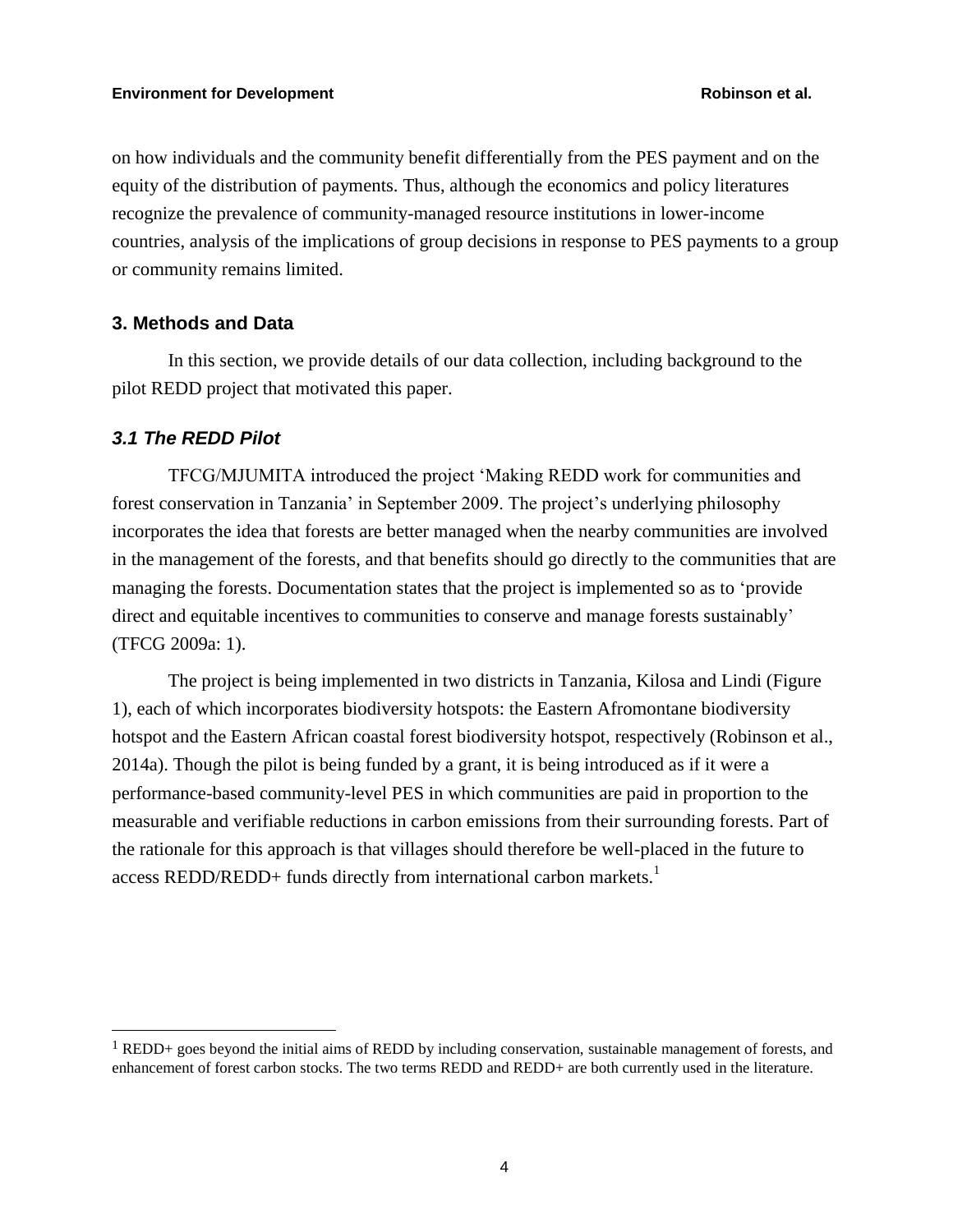on how individuals and the community benefit differentially from the PES payment and on the equity of the distribution of payments. Thus, although the economics and policy literatures recognize the prevalence of community-managed resource institutions in lower-income countries, analysis of the implications of group decisions in response to PES payments to a group or community remains limited.

# **3. Methods and Data**

In this section, we provide details of our data collection, including background to the pilot REDD project that motivated this paper.

# *3.1 The REDD Pilot*

TFCG/MJUMITA introduced the project 'Making REDD work for communities and forest conservation in Tanzania' in September 2009. The project's underlying philosophy incorporates the idea that forests are better managed when the nearby communities are involved in the management of the forests, and that benefits should go directly to the communities that are managing the forests. Documentation states that the project is implemented so as to 'provide direct and equitable incentives to communities to conserve and manage forests sustainably' (TFCG 2009a: 1).

The project is being implemented in two districts in Tanzania, Kilosa and Lindi (Figure 1), each of which incorporates biodiversity hotspots: the Eastern Afromontane biodiversity hotspot and the Eastern African coastal forest biodiversity hotspot, respectively (Robinson et al., 2014a). Though the pilot is being funded by a grant, it is being introduced as if it were a performance-based community-level PES in which communities are paid in proportion to the measurable and verifiable reductions in carbon emissions from their surrounding forests. Part of the rationale for this approach is that villages should therefore be well-placed in the future to access REDD/REDD+ funds directly from international carbon markets.<sup>1</sup>

<sup>1</sup> REDD+ goes beyond the initial aims of REDD by including conservation, sustainable management of forests, and enhancement of forest carbon stocks. The two terms REDD and REDD+ are both currently used in the literature.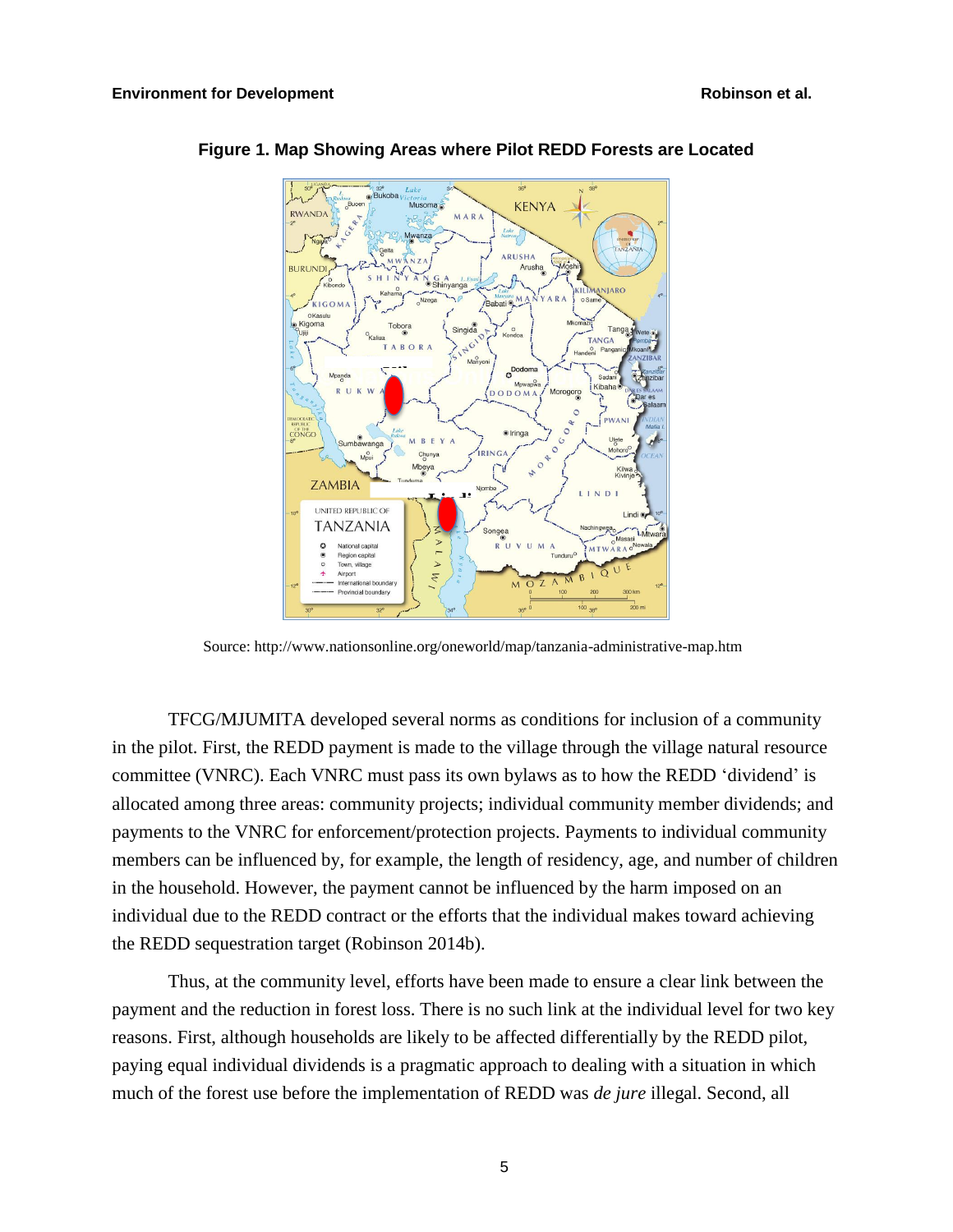

# **Figure 1. Map Showing Areas where Pilot REDD Forests are Located**

Source: http://www.nationsonline.org/oneworld/map/tanzania-administrative-map.htm

TFCG/MJUMITA developed several norms as conditions for inclusion of a community in the pilot. First, the REDD payment is made to the village through the village natural resource committee (VNRC). Each VNRC must pass its own bylaws as to how the REDD 'dividend' is allocated among three areas: community projects; individual community member dividends; and payments to the VNRC for enforcement/protection projects. Payments to individual community members can be influenced by, for example, the length of residency, age, and number of children in the household. However, the payment cannot be influenced by the harm imposed on an individual due to the REDD contract or the efforts that the individual makes toward achieving the REDD sequestration target (Robinson 2014b).

Thus, at the community level, efforts have been made to ensure a clear link between the payment and the reduction in forest loss. There is no such link at the individual level for two key reasons. First, although households are likely to be affected differentially by the REDD pilot, paying equal individual dividends is a pragmatic approach to dealing with a situation in which much of the forest use before the implementation of REDD was *de jure* illegal. Second, all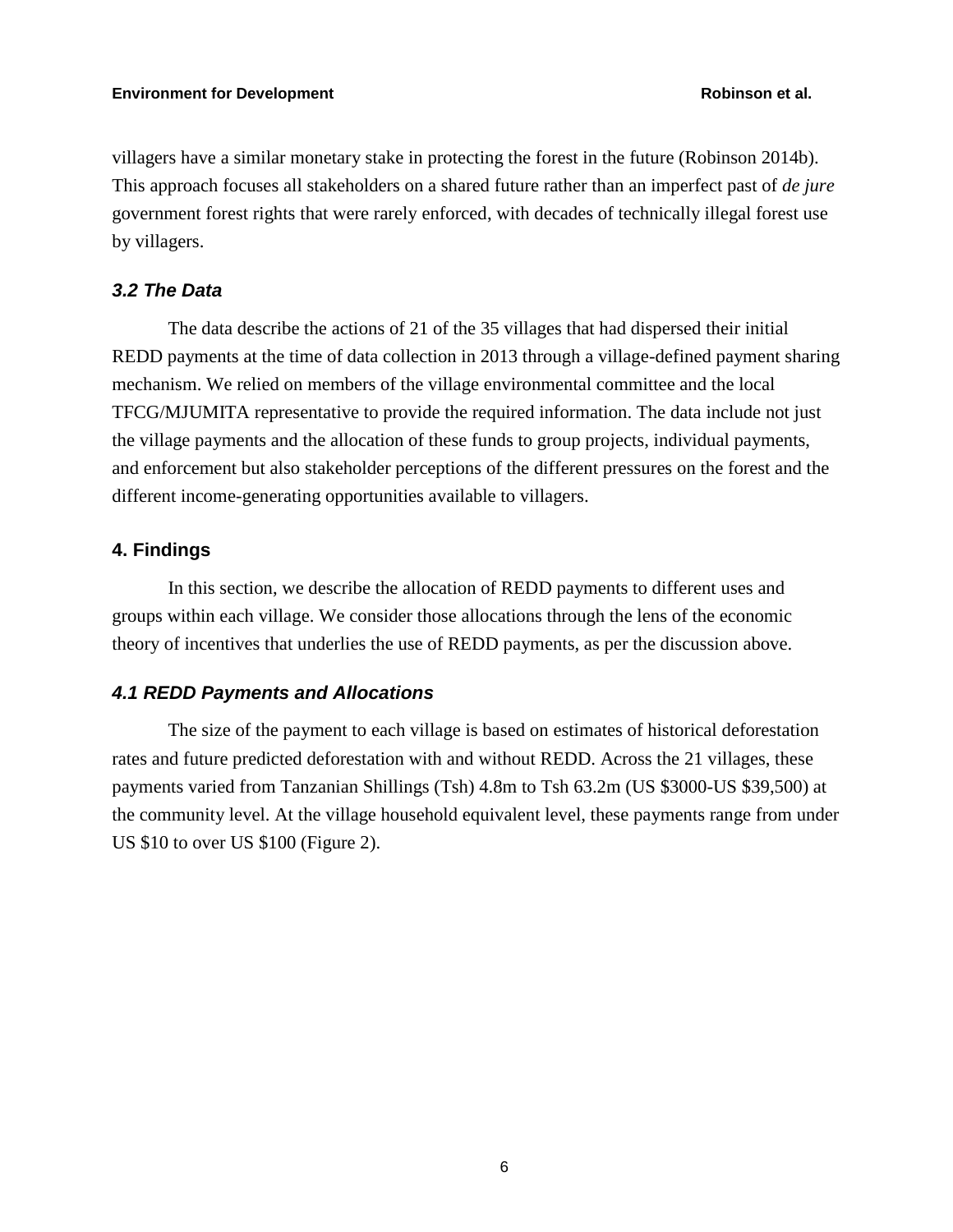villagers have a similar monetary stake in protecting the forest in the future (Robinson 2014b). This approach focuses all stakeholders on a shared future rather than an imperfect past of *de jure* government forest rights that were rarely enforced, with decades of technically illegal forest use by villagers.

# *3.2 The Data*

The data describe the actions of 21 of the 35 villages that had dispersed their initial REDD payments at the time of data collection in 2013 through a village-defined payment sharing mechanism. We relied on members of the village environmental committee and the local TFCG/MJUMITA representative to provide the required information. The data include not just the village payments and the allocation of these funds to group projects, individual payments, and enforcement but also stakeholder perceptions of the different pressures on the forest and the different income-generating opportunities available to villagers.

# **4. Findings**

In this section, we describe the allocation of REDD payments to different uses and groups within each village. We consider those allocations through the lens of the economic theory of incentives that underlies the use of REDD payments, as per the discussion above.

# *4.1 REDD Payments and Allocations*

The size of the payment to each village is based on estimates of historical deforestation rates and future predicted deforestation with and without REDD. Across the 21 villages, these payments varied from Tanzanian Shillings (Tsh) 4.8m to Tsh 63.2m (US \$3000-US \$39,500) at the community level. At the village household equivalent level, these payments range from under US \$10 to over US \$100 (Figure 2).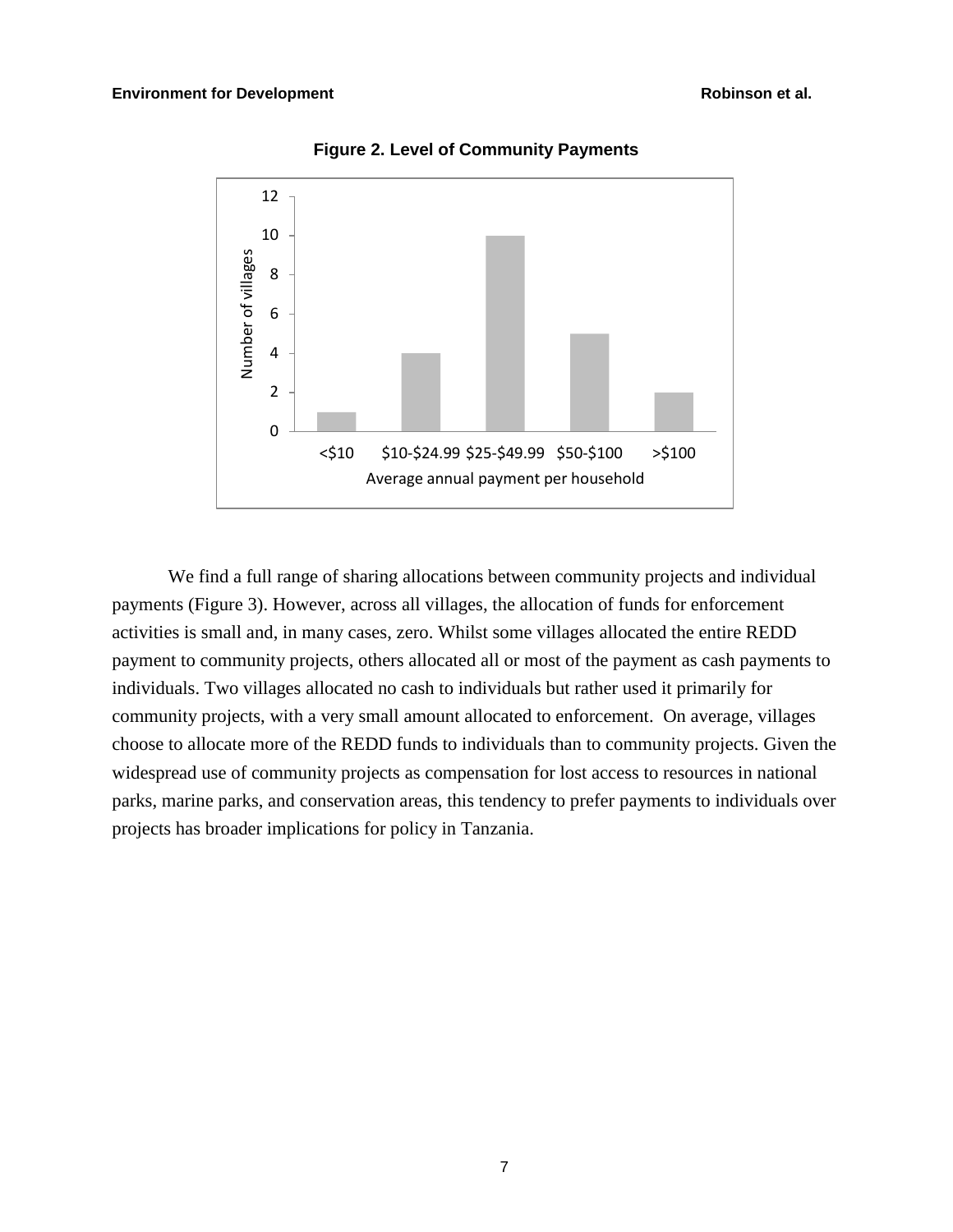

**Figure 2. Level of Community Payments** 

We find a full range of sharing allocations between community projects and individual payments (Figure 3). However, across all villages, the allocation of funds for enforcement activities is small and, in many cases, zero. Whilst some villages allocated the entire REDD payment to community projects, others allocated all or most of the payment as cash payments to individuals. Two villages allocated no cash to individuals but rather used it primarily for community projects, with a very small amount allocated to enforcement. On average, villages choose to allocate more of the REDD funds to individuals than to community projects. Given the widespread use of community projects as compensation for lost access to resources in national parks, marine parks, and conservation areas, this tendency to prefer payments to individuals over projects has broader implications for policy in Tanzania.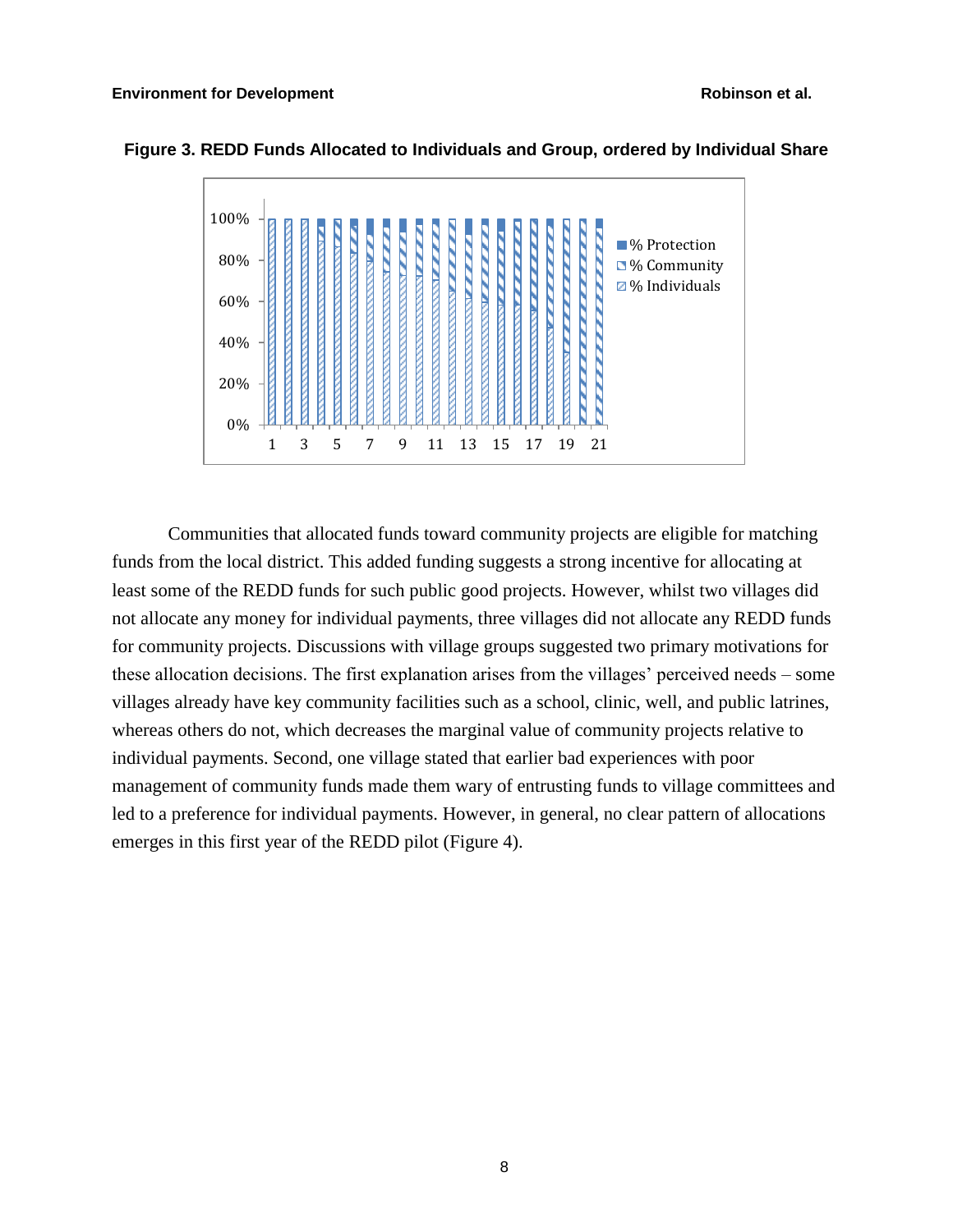

# **Figure 3. REDD Funds Allocated to Individuals and Group, ordered by Individual Share**

Communities that allocated funds toward community projects are eligible for matching funds from the local district. This added funding suggests a strong incentive for allocating at least some of the REDD funds for such public good projects. However, whilst two villages did not allocate any money for individual payments, three villages did not allocate any REDD funds for community projects. Discussions with village groups suggested two primary motivations for these allocation decisions. The first explanation arises from the villages' perceived needs – some villages already have key community facilities such as a school, clinic, well, and public latrines, whereas others do not, which decreases the marginal value of community projects relative to individual payments. Second, one village stated that earlier bad experiences with poor management of community funds made them wary of entrusting funds to village committees and led to a preference for individual payments. However, in general, no clear pattern of allocations emerges in this first year of the REDD pilot (Figure 4).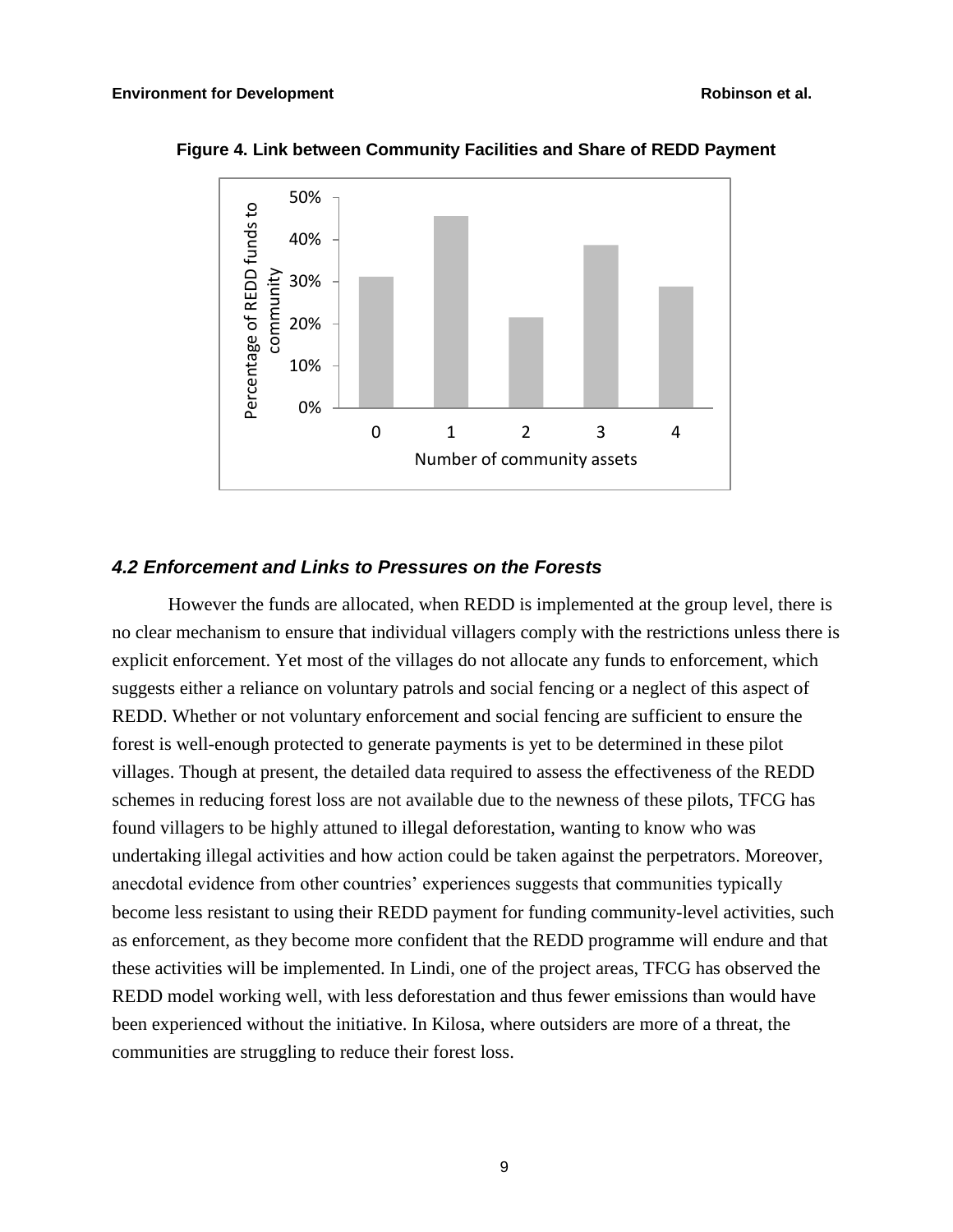

**Figure 4. Link between Community Facilities and Share of REDD Payment** 

# *4.2 Enforcement and Links to Pressures on the Forests*

However the funds are allocated, when REDD is implemented at the group level, there is no clear mechanism to ensure that individual villagers comply with the restrictions unless there is explicit enforcement. Yet most of the villages do not allocate any funds to enforcement, which suggests either a reliance on voluntary patrols and social fencing or a neglect of this aspect of REDD. Whether or not voluntary enforcement and social fencing are sufficient to ensure the forest is well-enough protected to generate payments is yet to be determined in these pilot villages. Though at present, the detailed data required to assess the effectiveness of the REDD schemes in reducing forest loss are not available due to the newness of these pilots, TFCG has found villagers to be highly attuned to illegal deforestation, wanting to know who was undertaking illegal activities and how action could be taken against the perpetrators. Moreover, anecdotal evidence from other countries' experiences suggests that communities typically become less resistant to using their REDD payment for funding community-level activities, such as enforcement, as they become more confident that the REDD programme will endure and that these activities will be implemented. In Lindi, one of the project areas, TFCG has observed the REDD model working well, with less deforestation and thus fewer emissions than would have been experienced without the initiative. In Kilosa, where outsiders are more of a threat, the communities are struggling to reduce their forest loss.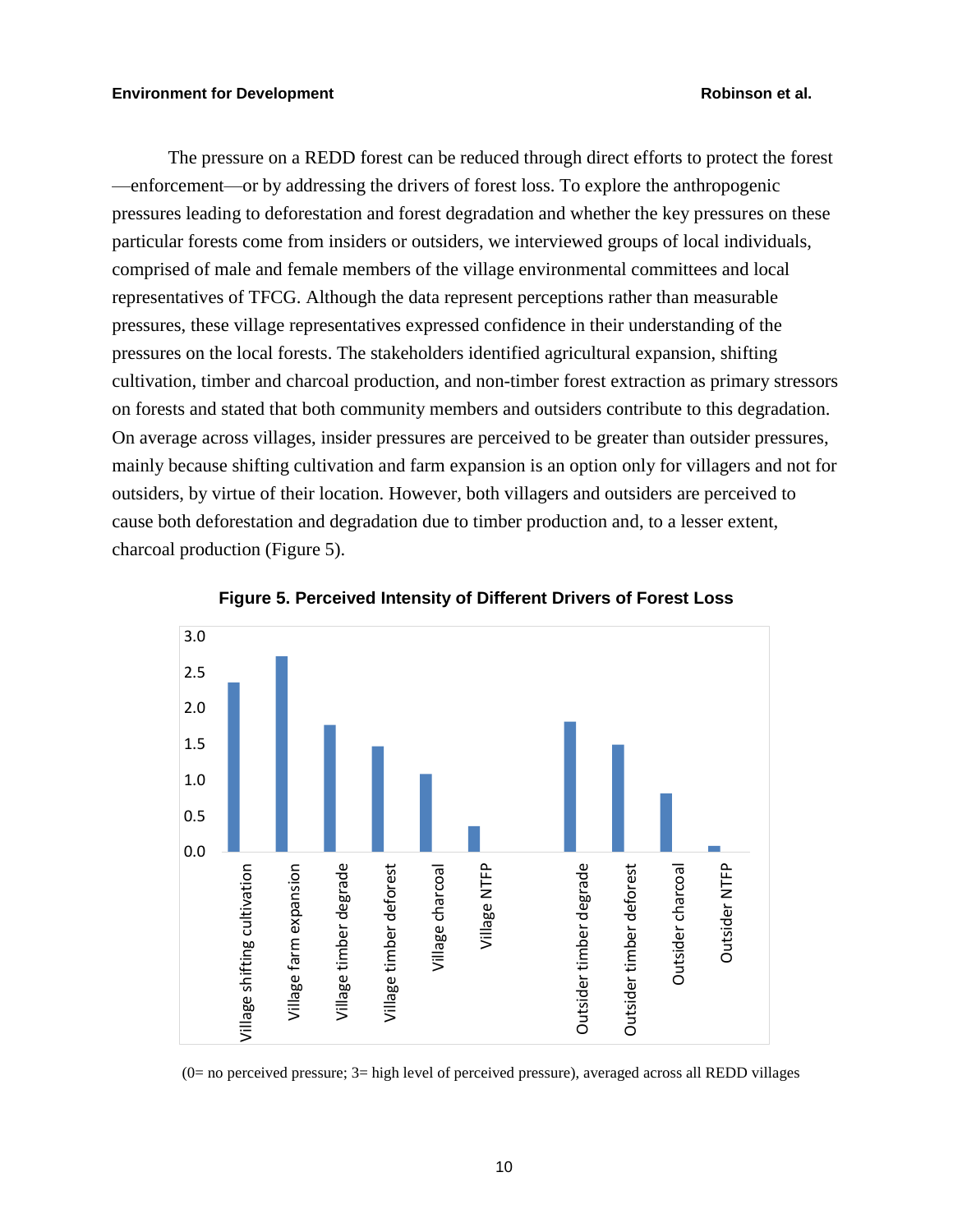The pressure on a REDD forest can be reduced through direct efforts to protect the forest —enforcement—or by addressing the drivers of forest loss. To explore the anthropogenic pressures leading to deforestation and forest degradation and whether the key pressures on these particular forests come from insiders or outsiders, we interviewed groups of local individuals, comprised of male and female members of the village environmental committees and local representatives of TFCG. Although the data represent perceptions rather than measurable pressures, these village representatives expressed confidence in their understanding of the pressures on the local forests. The stakeholders identified agricultural expansion, shifting cultivation, timber and charcoal production, and non-timber forest extraction as primary stressors on forests and stated that both community members and outsiders contribute to this degradation. On average across villages, insider pressures are perceived to be greater than outsider pressures, mainly because shifting cultivation and farm expansion is an option only for villagers and not for outsiders, by virtue of their location. However, both villagers and outsiders are perceived to cause both deforestation and degradation due to timber production and, to a lesser extent, charcoal production (Figure 5).





# $(0=$  no perceived pressure;  $3=$  high level of perceived pressure), averaged across all REDD villages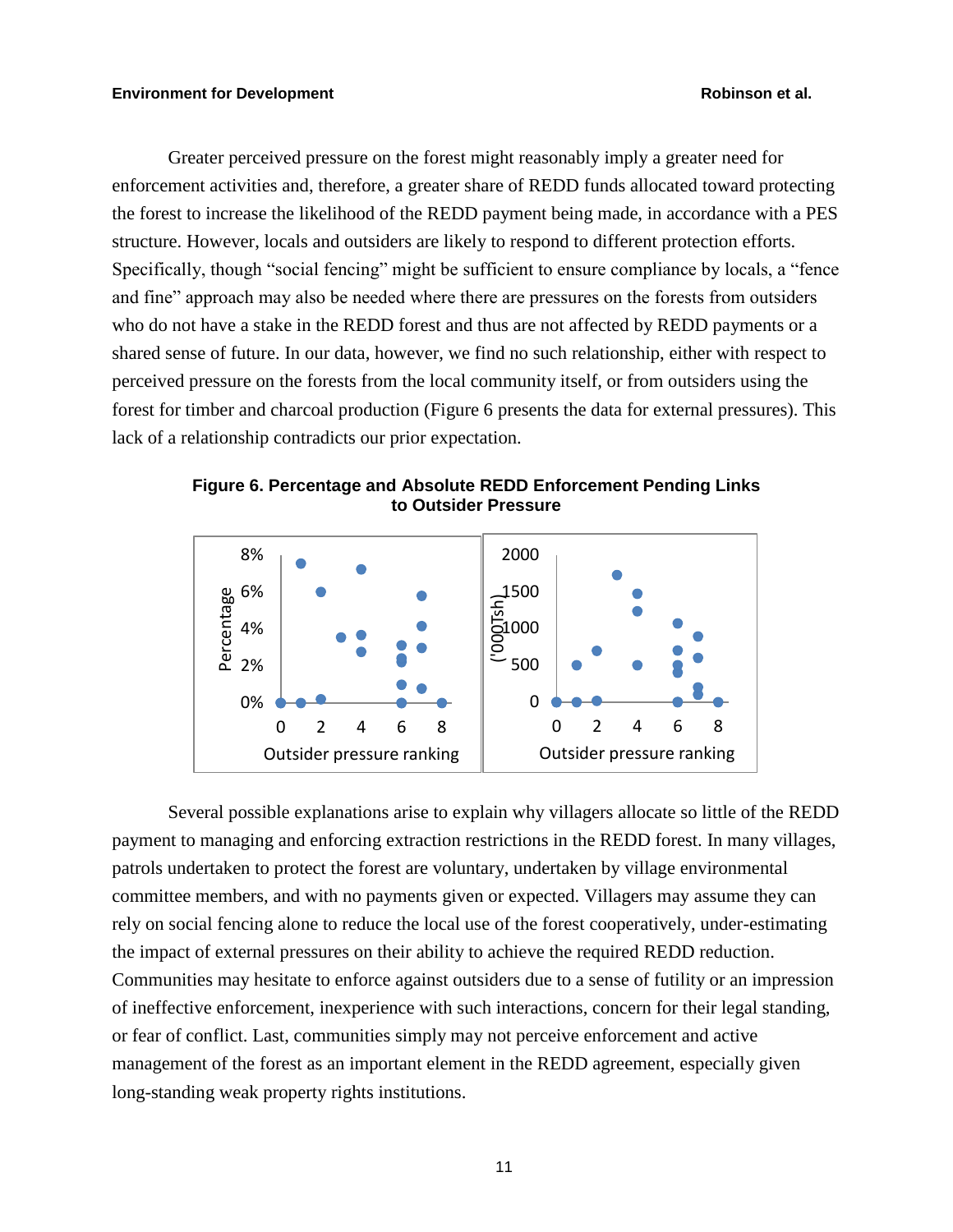Greater perceived pressure on the forest might reasonably imply a greater need for enforcement activities and, therefore, a greater share of REDD funds allocated toward protecting the forest to increase the likelihood of the REDD payment being made, in accordance with a PES structure. However, locals and outsiders are likely to respond to different protection efforts. Specifically, though "social fencing" might be sufficient to ensure compliance by locals, a "fence and fine" approach may also be needed where there are pressures on the forests from outsiders who do not have a stake in the REDD forest and thus are not affected by REDD payments or a shared sense of future. In our data, however, we find no such relationship, either with respect to perceived pressure on the forests from the local community itself, or from outsiders using the forest for timber and charcoal production (Figure 6 presents the data for external pressures). This lack of a relationship contradicts our prior expectation.





Several possible explanations arise to explain why villagers allocate so little of the REDD payment to managing and enforcing extraction restrictions in the REDD forest. In many villages, patrols undertaken to protect the forest are voluntary, undertaken by village environmental committee members, and with no payments given or expected. Villagers may assume they can rely on social fencing alone to reduce the local use of the forest cooperatively, under-estimating the impact of external pressures on their ability to achieve the required REDD reduction. Communities may hesitate to enforce against outsiders due to a sense of futility or an impression of ineffective enforcement, inexperience with such interactions, concern for their legal standing, or fear of conflict. Last, communities simply may not perceive enforcement and active management of the forest as an important element in the REDD agreement, especially given long-standing weak property rights institutions.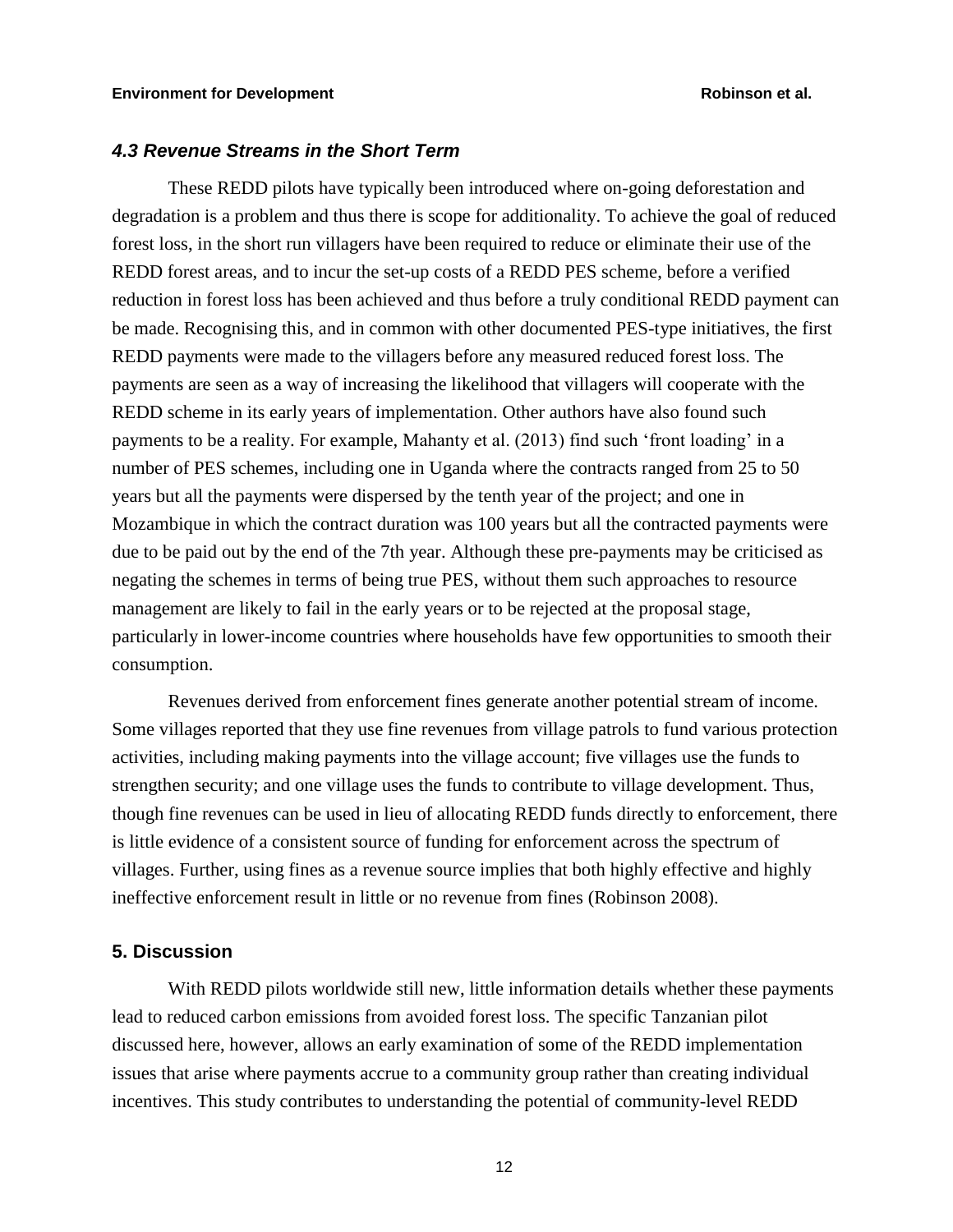# *4.3 Revenue Streams in the Short Term*

These REDD pilots have typically been introduced where on-going deforestation and degradation is a problem and thus there is scope for additionality. To achieve the goal of reduced forest loss, in the short run villagers have been required to reduce or eliminate their use of the REDD forest areas, and to incur the set-up costs of a REDD PES scheme, before a verified reduction in forest loss has been achieved and thus before a truly conditional REDD payment can be made. Recognising this, and in common with other documented PES-type initiatives, the first REDD payments were made to the villagers before any measured reduced forest loss. The payments are seen as a way of increasing the likelihood that villagers will cooperate with the REDD scheme in its early years of implementation. Other authors have also found such payments to be a reality. For example, Mahanty et al. (2013) find such 'front loading' in a number of PES schemes, including one in Uganda where the contracts ranged from 25 to 50 years but all the payments were dispersed by the tenth year of the project; and one in Mozambique in which the contract duration was 100 years but all the contracted payments were due to be paid out by the end of the 7th year. Although these pre-payments may be criticised as negating the schemes in terms of being true PES, without them such approaches to resource management are likely to fail in the early years or to be rejected at the proposal stage, particularly in lower-income countries where households have few opportunities to smooth their consumption.

Revenues derived from enforcement fines generate another potential stream of income. Some villages reported that they use fine revenues from village patrols to fund various protection activities, including making payments into the village account; five villages use the funds to strengthen security; and one village uses the funds to contribute to village development. Thus, though fine revenues can be used in lieu of allocating REDD funds directly to enforcement, there is little evidence of a consistent source of funding for enforcement across the spectrum of villages. Further, using fines as a revenue source implies that both highly effective and highly ineffective enforcement result in little or no revenue from fines (Robinson 2008).

# **5. Discussion**

With REDD pilots worldwide still new, little information details whether these payments lead to reduced carbon emissions from avoided forest loss. The specific Tanzanian pilot discussed here, however, allows an early examination of some of the REDD implementation issues that arise where payments accrue to a community group rather than creating individual incentives. This study contributes to understanding the potential of community-level REDD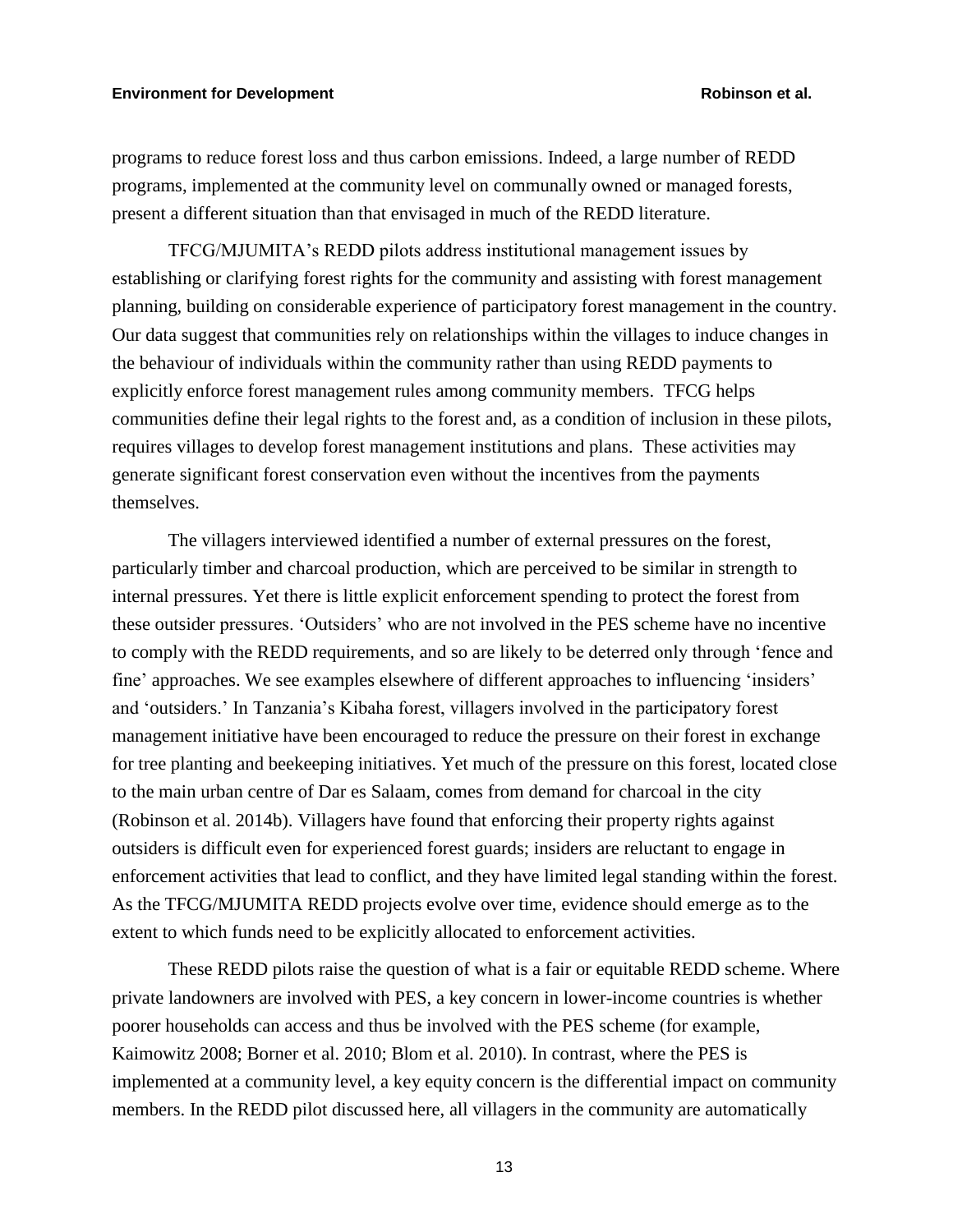# **Environment for Development Robinson et al.**

programs to reduce forest loss and thus carbon emissions. Indeed, a large number of REDD programs, implemented at the community level on communally owned or managed forests, present a different situation than that envisaged in much of the REDD literature.

TFCG/MJUMITA's REDD pilots address institutional management issues by establishing or clarifying forest rights for the community and assisting with forest management planning, building on considerable experience of participatory forest management in the country. Our data suggest that communities rely on relationships within the villages to induce changes in the behaviour of individuals within the community rather than using REDD payments to explicitly enforce forest management rules among community members. TFCG helps communities define their legal rights to the forest and, as a condition of inclusion in these pilots, requires villages to develop forest management institutions and plans. These activities may generate significant forest conservation even without the incentives from the payments themselves.

The villagers interviewed identified a number of external pressures on the forest, particularly timber and charcoal production, which are perceived to be similar in strength to internal pressures. Yet there is little explicit enforcement spending to protect the forest from these outsider pressures. 'Outsiders' who are not involved in the PES scheme have no incentive to comply with the REDD requirements, and so are likely to be deterred only through 'fence and fine' approaches. We see examples elsewhere of different approaches to influencing 'insiders' and 'outsiders.' In Tanzania's Kibaha forest, villagers involved in the participatory forest management initiative have been encouraged to reduce the pressure on their forest in exchange for tree planting and beekeeping initiatives. Yet much of the pressure on this forest, located close to the main urban centre of Dar es Salaam, comes from demand for charcoal in the city (Robinson et al. 2014b). Villagers have found that enforcing their property rights against outsiders is difficult even for experienced forest guards; insiders are reluctant to engage in enforcement activities that lead to conflict, and they have limited legal standing within the forest. As the TFCG/MJUMITA REDD projects evolve over time, evidence should emerge as to the extent to which funds need to be explicitly allocated to enforcement activities.

These REDD pilots raise the question of what is a fair or equitable REDD scheme. Where private landowners are involved with PES, a key concern in lower-income countries is whether poorer households can access and thus be involved with the PES scheme (for example, Kaimowitz 2008; Borner et al. 2010; Blom et al. 2010). In contrast, where the PES is implemented at a community level, a key equity concern is the differential impact on community members. In the REDD pilot discussed here, all villagers in the community are automatically

13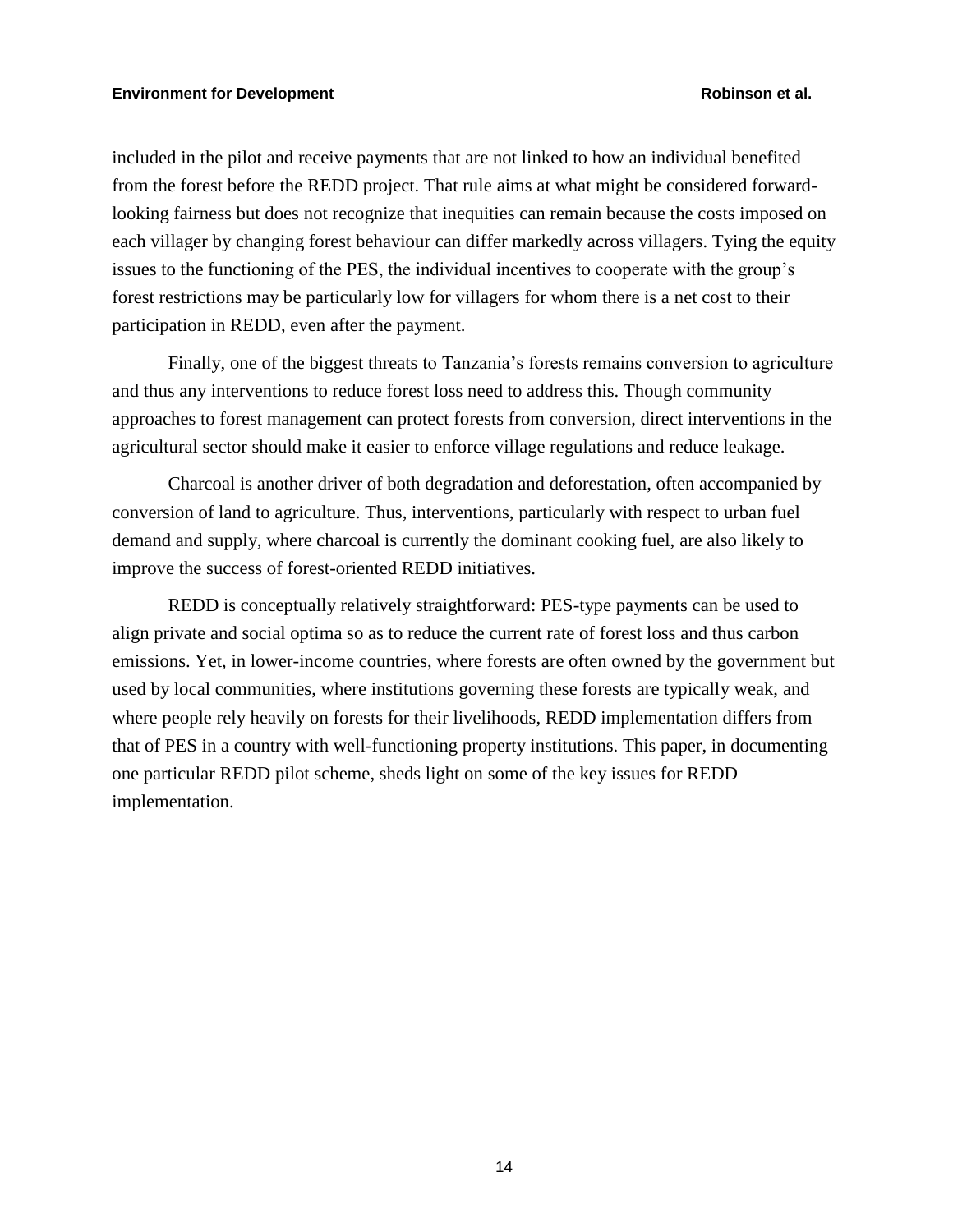included in the pilot and receive payments that are not linked to how an individual benefited from the forest before the REDD project. That rule aims at what might be considered forwardlooking fairness but does not recognize that inequities can remain because the costs imposed on each villager by changing forest behaviour can differ markedly across villagers. Tying the equity issues to the functioning of the PES, the individual incentives to cooperate with the group's forest restrictions may be particularly low for villagers for whom there is a net cost to their participation in REDD, even after the payment.

Finally, one of the biggest threats to Tanzania's forests remains conversion to agriculture and thus any interventions to reduce forest loss need to address this. Though community approaches to forest management can protect forests from conversion, direct interventions in the agricultural sector should make it easier to enforce village regulations and reduce leakage.

Charcoal is another driver of both degradation and deforestation, often accompanied by conversion of land to agriculture. Thus, interventions, particularly with respect to urban fuel demand and supply, where charcoal is currently the dominant cooking fuel, are also likely to improve the success of forest-oriented REDD initiatives.

REDD is conceptually relatively straightforward: PES-type payments can be used to align private and social optima so as to reduce the current rate of forest loss and thus carbon emissions. Yet, in lower-income countries, where forests are often owned by the government but used by local communities, where institutions governing these forests are typically weak, and where people rely heavily on forests for their livelihoods, REDD implementation differs from that of PES in a country with well-functioning property institutions. This paper, in documenting one particular REDD pilot scheme, sheds light on some of the key issues for REDD implementation.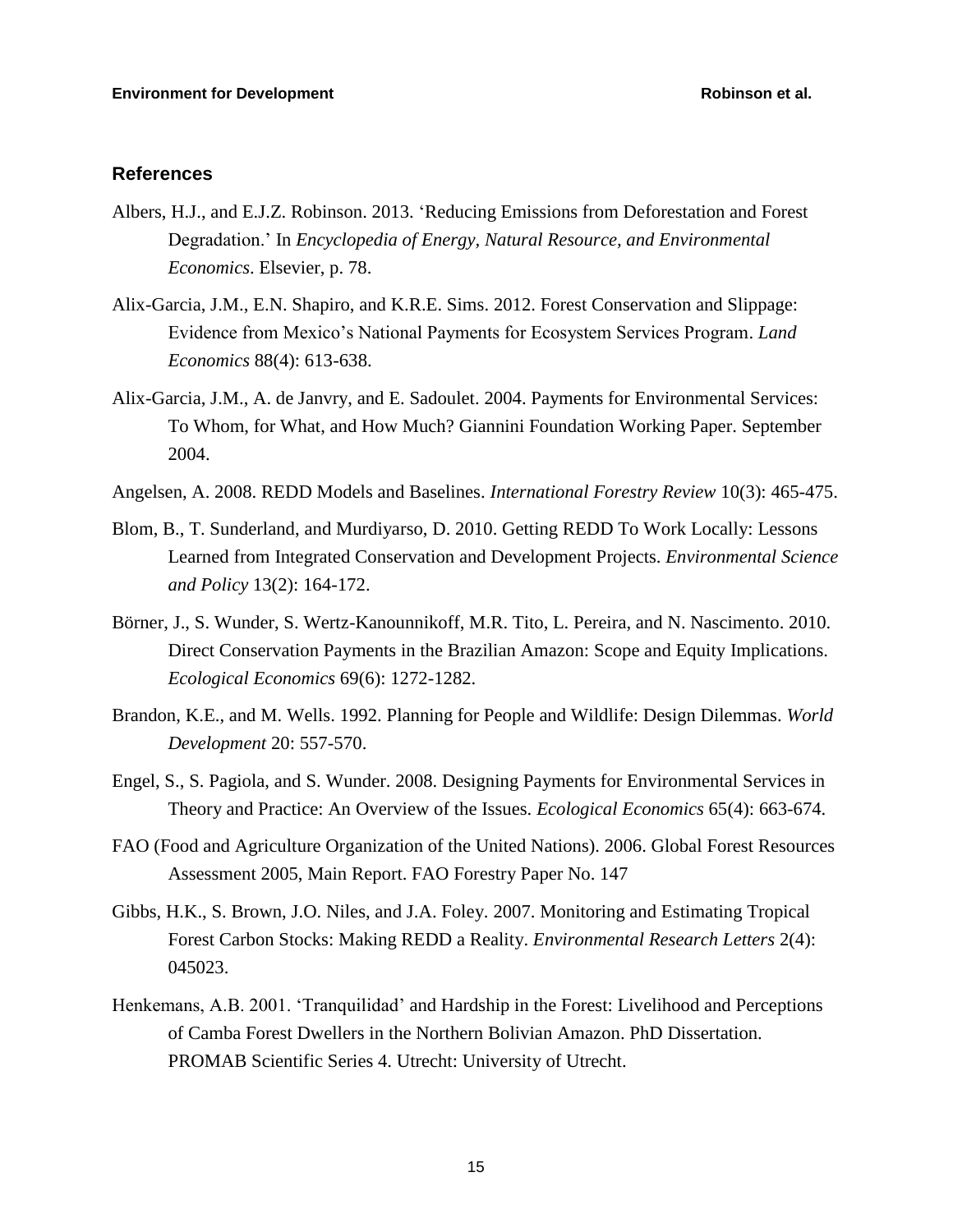# **References**

- Albers, H.J., and E.J.Z. Robinson. 2013. 'Reducing Emissions from Deforestation and Forest Degradation.' In *Encyclopedia of Energy, Natural Resource, and Environmental Economics*. Elsevier, p. 78.
- Alix-Garcia, J.M., E.N. Shapiro, and K.R.E. Sims. 2012. Forest Conservation and Slippage: Evidence from Mexico's National Payments for Ecosystem Services Program. *Land Economics* 88(4): 613-638.
- Alix-Garcia, J.M., A. de Janvry, and E. Sadoulet. 2004. Payments for Environmental Services: To Whom, for What, and How Much? Giannini Foundation Working Paper. September 2004.
- Angelsen, A. 2008. REDD Models and Baselines. *International Forestry Review* 10(3): 465-475.
- Blom, B., T. Sunderland, and Murdiyarso, D. 2010. Getting REDD To Work Locally: Lessons Learned from Integrated Conservation and Development Projects. *Environmental Science and Policy* 13(2): 164-172.
- Börner, J., S. Wunder, S. Wertz-Kanounnikoff, M.R. Tito, L. Pereira, and N. Nascimento. 2010. Direct Conservation Payments in the Brazilian Amazon: Scope and Equity Implications. *Ecological Economics* 69(6): 1272-1282.
- Brandon, K.E., and M. Wells. 1992. Planning for People and Wildlife: Design Dilemmas. *World Development* 20: 557-570.
- Engel, S., S. Pagiola, and S. Wunder. 2008. Designing Payments for Environmental Services in Theory and Practice: An Overview of the Issues. *Ecological Economics* 65(4): 663-674.
- FAO (Food and Agriculture Organization of the United Nations). 2006. Global Forest Resources Assessment 2005, Main Report. FAO Forestry Paper No. 147
- Gibbs, H.K., S. Brown, J.O. Niles, and J.A. Foley. 2007. Monitoring and Estimating Tropical Forest Carbon Stocks: Making REDD a Reality. *Environmental Research Letters* 2(4): 045023.
- Henkemans, A.B. 2001. 'Tranquilidad' and Hardship in the Forest: Livelihood and Perceptions of Camba Forest Dwellers in the Northern Bolivian Amazon. PhD Dissertation. PROMAB Scientific Series 4. Utrecht: University of Utrecht.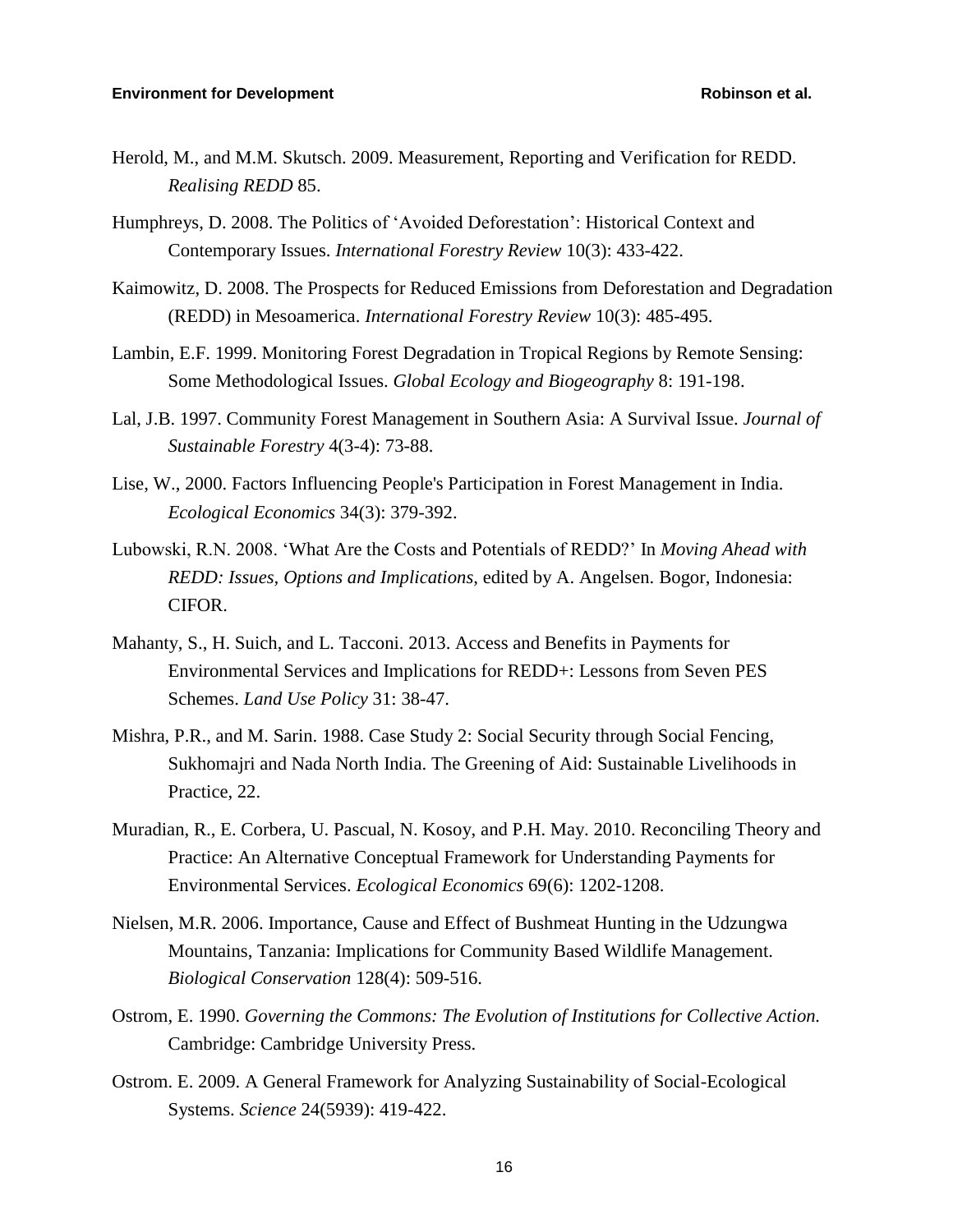# **Environment for Development Robinson et al. Robinson et al. Robinson et al.**

- Herold, M., and M.M. Skutsch. 2009. Measurement, Reporting and Verification for REDD. *Realising REDD* 85.
- Humphreys, D. 2008. The Politics of 'Avoided Deforestation': Historical Context and Contemporary Issues. *International Forestry Review* 10(3): 433-422.
- Kaimowitz, D. 2008. The Prospects for Reduced Emissions from Deforestation and Degradation (REDD) in Mesoamerica. *International Forestry Review* 10(3): 485-495.
- Lambin, E.F. 1999. Monitoring Forest Degradation in Tropical Regions by Remote Sensing: Some Methodological Issues. *Global Ecology and Biogeography* 8: 191-198.
- Lal, J.B. 1997. Community Forest Management in Southern Asia: A Survival Issue. *Journal of Sustainable Forestry* 4(3-4): 73-88.
- Lise, W., 2000. Factors Influencing People's Participation in Forest Management in India. *Ecological Economics* 34(3): 379-392.
- Lubowski, R.N. 2008. 'What Are the Costs and Potentials of REDD?' In *Moving Ahead with REDD: Issues, Options and Implications*, edited by A. Angelsen. Bogor, Indonesia: CIFOR.
- Mahanty, S., H. Suich, and L. Tacconi. 2013. Access and Benefits in Payments for Environmental Services and Implications for REDD+: Lessons from Seven PES Schemes. *Land Use Policy* 31: 38-47.
- Mishra, P.R., and M. Sarin. 1988. Case Study 2: Social Security through Social Fencing, Sukhomajri and Nada North India. The Greening of Aid: Sustainable Livelihoods in Practice, 22.
- Muradian, R., E. Corbera, U. Pascual, N. Kosoy, and P.H. May. 2010. Reconciling Theory and Practice: An Alternative Conceptual Framework for Understanding Payments for Environmental Services. *Ecological Economics* 69(6): 1202-1208.
- Nielsen, M.R. 2006. Importance, Cause and Effect of Bushmeat Hunting in the Udzungwa Mountains, Tanzania: Implications for Community Based Wildlife Management. *Biological Conservation* 128(4): 509-516.
- Ostrom, E. 1990. *Governing the Commons: The Evolution of Institutions for Collective Action.* Cambridge: Cambridge University Press.
- Ostrom. E. 2009. A General Framework for Analyzing Sustainability of Social-Ecological Systems. *Science* 24(5939): 419-422.